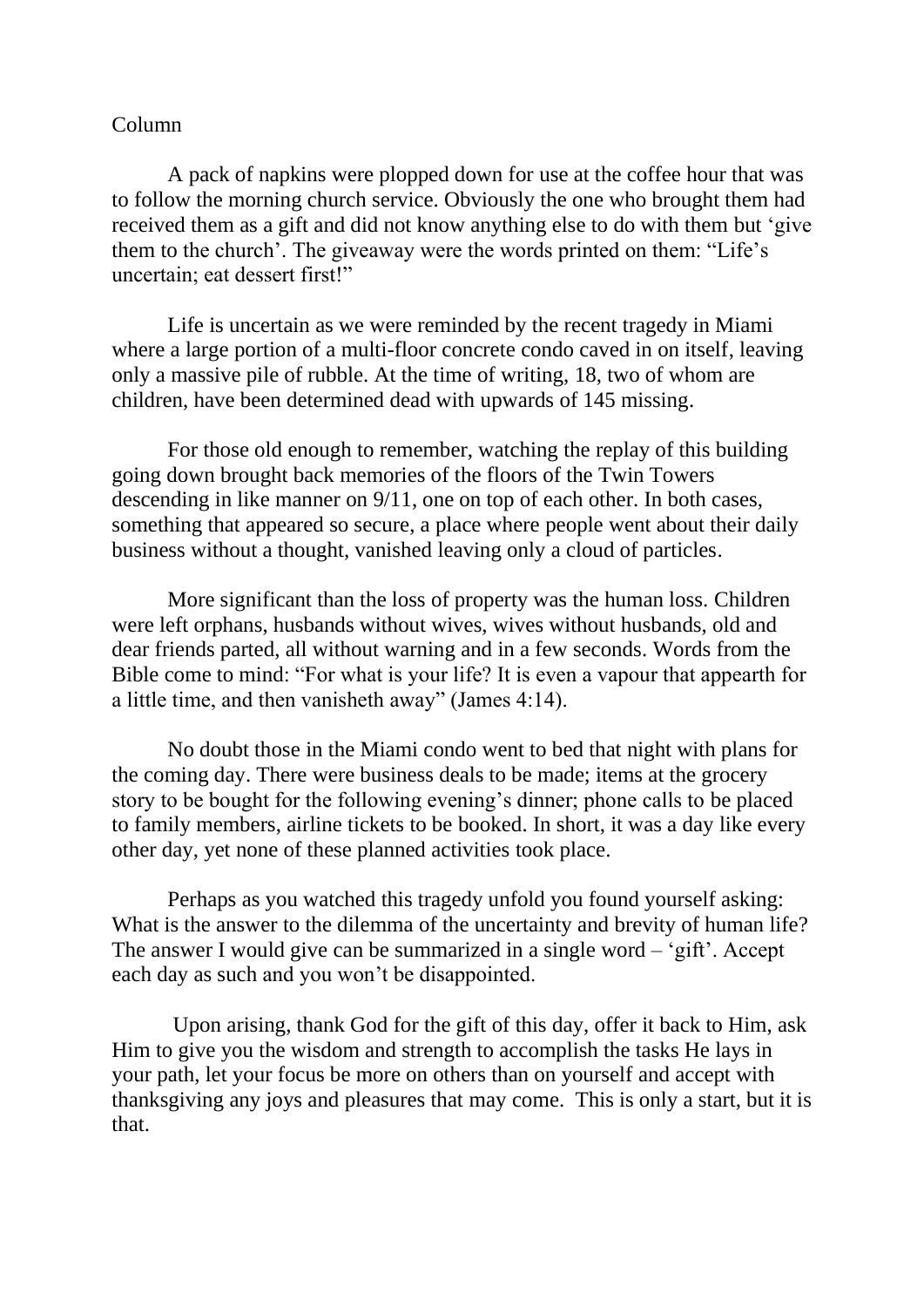## Column

A pack of napkins were plopped down for use at the coffee hour that was to follow the morning church service. Obviously the one who brought them had received them as a gift and did not know anything else to do with them but 'give them to the church'. The giveaway were the words printed on them: "Life's uncertain; eat dessert first!"

Life is uncertain as we were reminded by the recent tragedy in Miami where a large portion of a multi-floor concrete condo caved in on itself, leaving only a massive pile of rubble. At the time of writing, 18, two of whom are children, have been determined dead with upwards of 145 missing.

For those old enough to remember, watching the replay of this building going down brought back memories of the floors of the Twin Towers descending in like manner on 9/11, one on top of each other. In both cases, something that appeared so secure, a place where people went about their daily business without a thought, vanished leaving only a cloud of particles.

More significant than the loss of property was the human loss. Children were left orphans, husbands without wives, wives without husbands, old and dear friends parted, all without warning and in a few seconds. Words from the Bible come to mind: "For what is your life? It is even a vapour that appearth for a little time, and then vanisheth away" (James 4:14).

No doubt those in the Miami condo went to bed that night with plans for the coming day. There were business deals to be made; items at the grocery story to be bought for the following evening's dinner; phone calls to be placed to family members, airline tickets to be booked. In short, it was a day like every other day, yet none of these planned activities took place.

Perhaps as you watched this tragedy unfold you found yourself asking: What is the answer to the dilemma of the uncertainty and brevity of human life? The answer I would give can be summarized in a single word  $-$  'gift'. Accept each day as such and you won't be disappointed.

Upon arising, thank God for the gift of this day, offer it back to Him, ask Him to give you the wisdom and strength to accomplish the tasks He lays in your path, let your focus be more on others than on yourself and accept with thanksgiving any joys and pleasures that may come. This is only a start, but it is that.